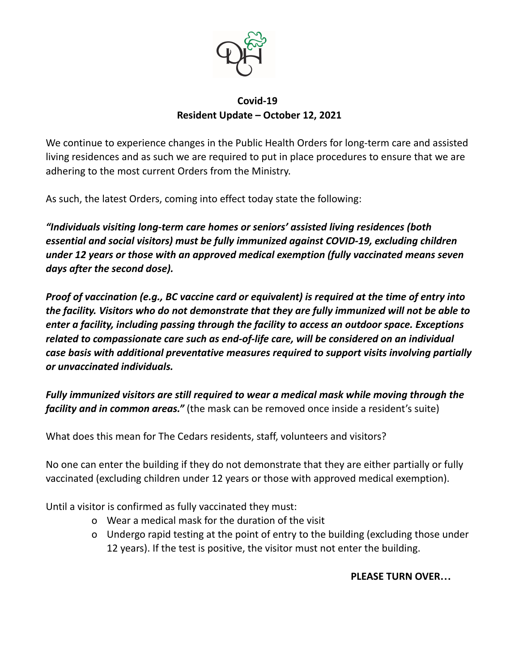

## **Covid-19 Resident Update – October 12, 2021**

We continue to experience changes in the Public Health Orders for long-term care and assisted living residences and as such we are required to put in place procedures to ensure that we are adhering to the most current Orders from the Ministry.

As such, the latest Orders, coming into effect today state the following:

*"Individuals visiting long-term care homes or seniors' assisted living residences (both essential and social visitors) must be fully immunized against COVID-19, excluding children under 12 years or those with an approved medical exemption (fully vaccinated means seven days after the second dose).*

*Proof of vaccination (e.g., BC vaccine card or equivalent) is required at the time of entry into the facility. Visitors who do not demonstrate that they are fully immunized will not be able to enter a facility, including passing through the facility to access an outdoor space. Exceptions related to compassionate care such as end-of-life care, will be considered on an individual case basis with additional preventative measures required to support visits involving partially or unvaccinated individuals.*

*Fully immunized visitors are still required to wear a medical mask while moving through the facility and in common areas."* (the mask can be removed once inside a resident's suite)

What does this mean for The Cedars residents, staff, volunteers and visitors?

No one can enter the building if they do not demonstrate that they are either partially or fully vaccinated (excluding children under 12 years or those with approved medical exemption).

Until a visitor is confirmed as fully vaccinated they must:

- o Wear a medical mask for the duration of the visit
- o Undergo rapid testing at the point of entry to the building (excluding those under 12 years). If the test is positive, the visitor must not enter the building.

## **PLEASE TURN OVER…**